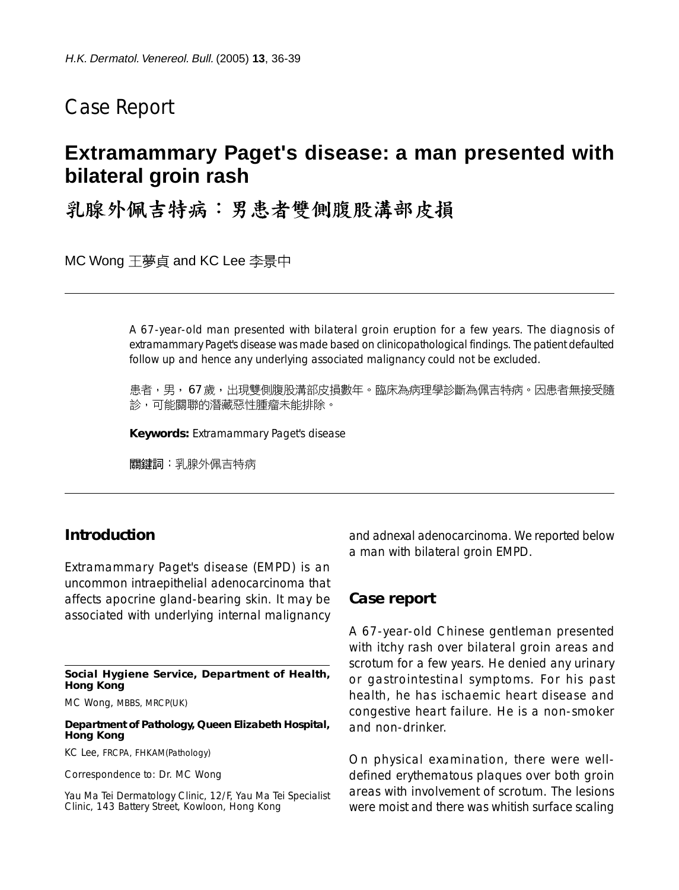# Case Report

## **Extramammary Paget's disease: a man presented with bilateral groin rash**

乳腺外佩吉特病:男患者雙側腹股溝部皮損

MC Wong 王夢貞 and KC Lee 李景中

A 67-year-old man presented with bilateral groin eruption for a few years. The diagnosis of extramammary Paget's disease was made based on clinicopathological findings. The patient defaulted follow up and hence any underlying associated malignancy could not be excluded.

患者,男, 67 歲,出現雙側腹股溝部皮損數年。臨床為病理學診斷為佩吉特病。因患者無接受隨 診,可能關聯的潛藏惡性腫瘤未能排除。

**Keywords:** Extramammary Paget's disease

關鍵詞: 乳腺外佩吉特病

## **Introduction**

Extramammary Paget's disease (EMPD) is an uncommon intraepithelial adenocarcinoma that affects apocrine gland-bearing skin. It may be associated with underlying internal malignancy

**Social Hygiene Service, Department of Health, Hong Kong**

MC Wong, MBBS, MRCP(UK)

**Department of Pathology, Queen Elizabeth Hospital, Hong Kong**

KC Lee, FRCPA, FHKAM(Pathology)

Correspondence to: Dr. MC Wong

Yau Ma Tei Dermatology Clinic, 12/F, Yau Ma Tei Specialist Clinic, 143 Battery Street, Kowloon, Hong Kong

and adnexal adenocarcinoma. We reported below a man with bilateral groin EMPD.

#### **Case report**

A 67-year-old Chinese gentleman presented with itchy rash over bilateral groin areas and scrotum for a few years. He denied any urinary or gastrointestinal symptoms. For his past health, he has ischaemic heart disease and congestive heart failure. He is a non-smoker and non-drinker.

On physical examination, there were welldefined erythematous plaques over both groin areas with involvement of scrotum. The lesions were moist and there was whitish surface scaling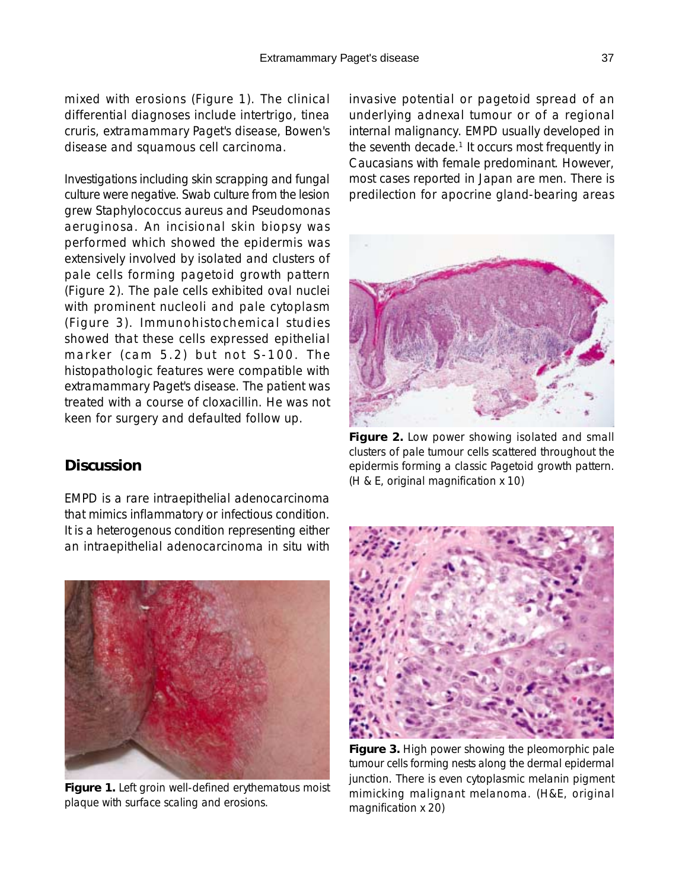mixed with erosions (Figure 1). The clinical differential diagnoses include intertrigo, tinea cruris, extramammary Paget's disease, Bowen's disease and squamous cell carcinoma.

Investigations including skin scrapping and fungal culture were negative. Swab culture from the lesion grew Staphylococcus aureus and Pseudomonas aeruginosa. An incisional skin biopsy was performed which showed the epidermis was extensively involved by isolated and clusters of pale cells forming pagetoid growth pattern (Figure 2). The pale cells exhibited oval nuclei with prominent nucleoli and pale cytoplasm (Figure 3). Immunohistochemical studies showed that these cells expressed epithelial marker (cam 5.2) but not S-100. The histopathologic features were compatible with extramammary Paget's disease. The patient was treated with a course of cloxacillin. He was not keen for surgery and defaulted follow up.

### **Discussion**

EMPD is a rare intraepithelial adenocarcinoma that mimics inflammatory or infectious condition. It is a heterogenous condition representing either an intraepithelial adenocarcinoma in situ with



**Figure 1.** Left groin well-defined erythematous moist plaque with surface scaling and erosions.

invasive potential or pagetoid spread of an underlying adnexal tumour or of a regional internal malignancy. EMPD usually developed in the seventh decade.<sup>1</sup> It occurs most frequently in Caucasians with female predominant. However, most cases reported in Japan are men. There is predilection for apocrine gland-bearing areas



**Figure 2.** Low power showing isolated and small clusters of pale tumour cells scattered throughout the epidermis forming a classic Pagetoid growth pattern. (H & E, original magnification x 10)



**Figure 3.** High power showing the pleomorphic pale tumour cells forming nests along the dermal epidermal junction. There is even cytoplasmic melanin pigment mimicking malignant melanoma. (H&E, original magnification x 20)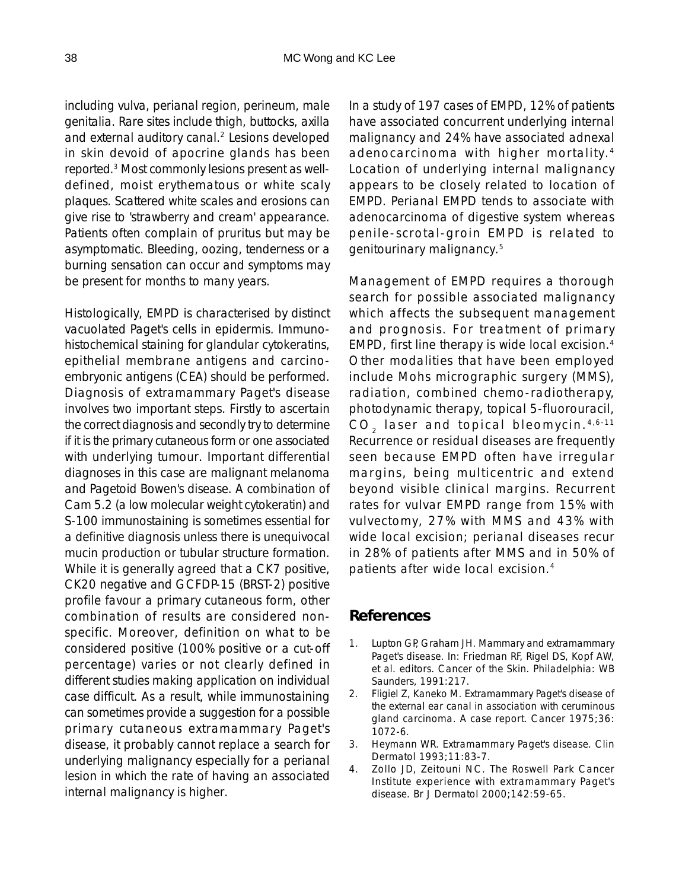including vulva, perianal region, perineum, male genitalia. Rare sites include thigh, buttocks, axilla and external auditory canal.<sup>2</sup> Lesions developed in skin devoid of apocrine glands has been reported.3 Most commonly lesions present as welldefined, moist erythematous or white scaly plaques. Scattered white scales and erosions can give rise to 'strawberry and cream' appearance. Patients often complain of pruritus but may be asymptomatic. Bleeding, oozing, tenderness or a burning sensation can occur and symptoms may be present for months to many years.

Histologically, EMPD is characterised by distinct vacuolated Paget's cells in epidermis. Immunohistochemical staining for glandular cytokeratins, epithelial membrane antigens and carcinoembryonic antigens (CEA) should be performed. Diagnosis of extramammary Paget's disease involves two important steps. Firstly to ascertain the correct diagnosis and secondly try to determine if it is the primary cutaneous form or one associated with underlying tumour. Important differential diagnoses in this case are malignant melanoma and Pagetoid Bowen's disease. A combination of Cam 5.2 (a low molecular weight cytokeratin) and S-100 immunostaining is sometimes essential for a definitive diagnosis unless there is unequivocal mucin production or tubular structure formation. While it is generally agreed that a CK7 positive, CK20 negative and GCFDP-15 (BRST-2) positive profile favour a primary cutaneous form, other combination of results are considered nonspecific. Moreover, definition on what to be considered positive (100% positive or a cut-off percentage) varies or not clearly defined in different studies making application on individual case difficult. As a result, while immunostaining can sometimes provide a suggestion for a possible primary cutaneous extramammary Paget's disease, it probably cannot replace a search for underlying malignancy especially for a perianal lesion in which the rate of having an associated internal malignancy is higher.

In a study of 197 cases of EMPD, 12% of patients have associated concurrent underlying internal malignancy and 24% have associated adnexal adenocarcinoma with higher mortality. <sup>4</sup> Location of underlying internal malignancy appears to be closely related to location of EMPD. Perianal EMPD tends to associate with adenocarcinoma of digestive system whereas penile-scrotal-groin EMPD is related to genitourinary malignancy.5

Management of EMPD requires a thorough search for possible associated malignancy which affects the subsequent management and prognosis. For treatment of primary EMPD, first line therapy is wide local excision.4 Other modalities that have been employed include Mohs micrographic surgery (MMS), radiation, combined chemo-radiotherapy, photodynamic therapy, topical 5-fluorouracil, CO<sub>2</sub> laser and topical bleomycin.<sup>4,6-11</sup> Recurrence or residual diseases are frequently seen because EMPD often have irregular margins, being multicentric and extend beyond visible clinical margins. Recurrent rates for vulvar EMPD range from 15% with vulvectomy, 27% with MMS and 43% with wide local excision; perianal diseases recur in 28% of patients after MMS and in 50% of patients after wide local excision.4

## **References**

- 1. Lupton GP, Graham JH. Mammary and extramammary Paget's disease. In: Friedman RF, Rigel DS, Kopf AW, et al. editors. Cancer of the Skin. Philadelphia: WB Saunders, 1991:217.
- 2. Fligiel Z, Kaneko M. Extramammary Paget's disease of the external ear canal in association with ceruminous gland carcinoma. A case report. Cancer 1975;36: 1072-6.
- 3. Heymann WR. Extramammary Paget's disease. Clin Dermatol 1993;11:83-7.
- 4. Zollo JD, Zeitouni NC. The Roswell Park Cancer Institute experience with extramammary Paget's disease. Br J Dermatol 2000;142:59-65.